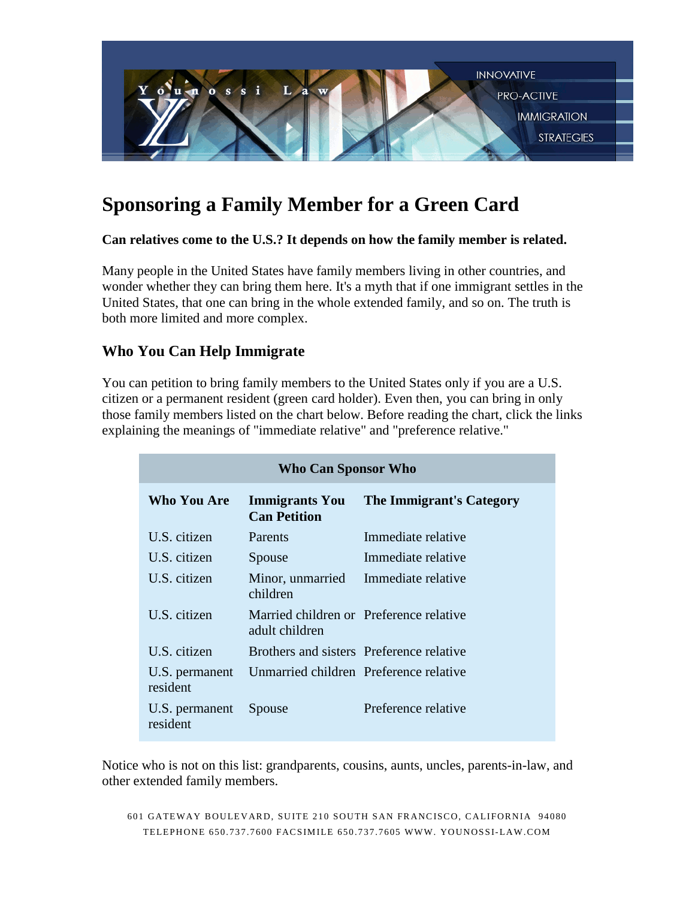

# **Sponsoring a Family Member for a Green Card**

## **Can relatives come to the U.S.? It depends on how the family member is related.**

Many people in the United States have family members living in other countries, and wonder whether they can bring them here. It's a myth that if one immigrant settles in the United States, that one can bring in the whole extended family, and so on. The truth is both more limited and more complex.

# **Who You Can Help Immigrate**

You can petition to bring family members to the United States only if you are a U.S. citizen or a permanent resident (green card holder). Even then, you can bring in only those family members listed on the chart below. Before reading the chart, click the links explaining the meanings of "immediate relative" and "preference relative."

| <b>Who Can Sponsor Who</b> |                                                           |                          |  |
|----------------------------|-----------------------------------------------------------|--------------------------|--|
| Who You Are                | <b>Immigrants You</b><br><b>Can Petition</b>              | The Immigrant's Category |  |
| U.S. citizen               | Parents                                                   | Immediate relative       |  |
| U.S. citizen               | Spouse                                                    | Immediate relative       |  |
| U.S. citizen               | Minor, unmarried<br>children                              | Immediate relative       |  |
| U.S. citizen               | Married children or Preference relative<br>adult children |                          |  |
| U.S. citizen               | Brothers and sisters Preference relative                  |                          |  |
| U.S. permanent<br>resident | Unmarried children Preference relative                    |                          |  |
| U.S. permanent<br>resident | Spouse                                                    | Preference relative      |  |

Notice who is not on this list: grandparents, cousins, aunts, uncles, parents-in-law, and other extended family members.

601 GATEWAY BOULEVARD, SUITE 210 SOUTH SAN FRANCISCO, CALIFORNIA 94080 TELEPHONE 650.737.760 0 FACSIMILE 650.737.76 05 WWW. YOUNOSSI-LAW.COM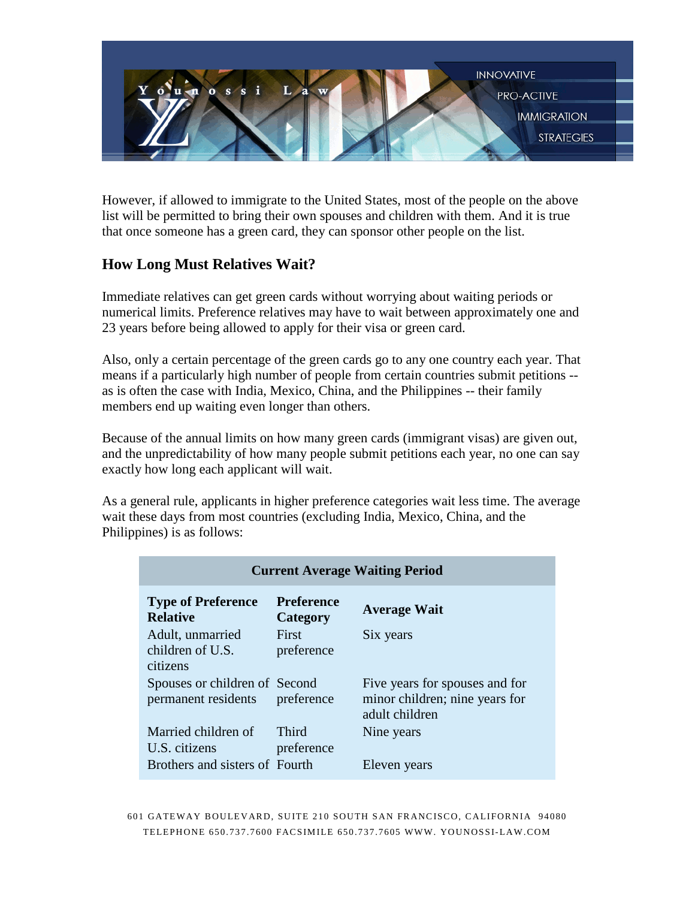

However, if allowed to immigrate to the United States, most of the people on the above list will be permitted to bring their own spouses and children with them. And it is true that once someone has a green card, they can sponsor other people on the list.

## **How Long Must Relatives Wait?**

Immediate relatives can get green cards without worrying about waiting periods or numerical limits. Preference relatives may have to wait between approximately one and 23 years before being allowed to apply for their visa or green card.

Also, only a certain percentage of the green cards go to any one country each year. That means if a particularly high number of people from certain countries submit petitions - as is often the case with India, Mexico, China, and the Philippines -- their family members end up waiting even longer than others.

Because of the annual limits on how many green cards (immigrant visas) are given out, and the unpredictability of how many people submit petitions each year, no one can say exactly how long each applicant will wait.

As a general rule, applicants in higher preference categories wait less time. The average wait these days from most countries (excluding India, Mexico, China, and the Philippines) is as follows:

| <b>Current Average Waiting Period</b>                |                               |                                                                                    |  |
|------------------------------------------------------|-------------------------------|------------------------------------------------------------------------------------|--|
| <b>Type of Preference</b><br><b>Relative</b>         | <b>Preference</b><br>Category | <b>Average Wait</b>                                                                |  |
| Adult, unmarried<br>children of U.S.<br>citizens     | First<br>preference           | Six years                                                                          |  |
| Spouses or children of Second<br>permanent residents | preference                    | Five years for spouses and for<br>minor children; nine years for<br>adult children |  |
| Married children of<br>U.S. citizens                 | Third<br>preference           | Nine years                                                                         |  |
| Brothers and sisters of Fourth                       |                               | Eleven years                                                                       |  |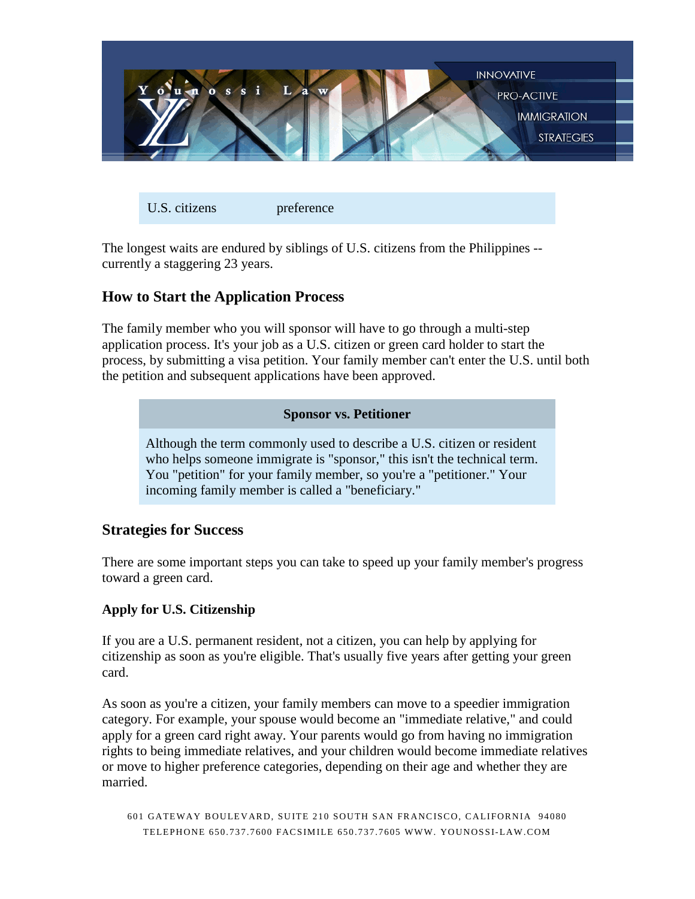

U.S. citizens preference

The longest waits are endured by siblings of U.S. citizens from the Philippines - currently a staggering 23 years.

## **How to Start the Application Process**

The family member who you will sponsor will have to go through a multi-step application process. It's your job as a U.S. citizen or green card holder to start the process, by submitting a visa petition. Your family member can't enter the U.S. until both the petition and subsequent applications have been approved.

#### **Sponsor vs. Petitioner**

Although the term commonly used to describe a U.S. citizen or resident who helps someone immigrate is "sponsor," this isn't the technical term. You "petition" for your family member, so you're a "petitioner." Your incoming family member is called a "beneficiary."

## **Strategies for Success**

There are some important steps you can take to speed up your family member's progress toward a green card.

## **Apply for U.S. Citizenship**

If you are a U.S. permanent resident, not a citizen, you can help by applying for citizenship as soon as you're eligible. That's usually five years after getting your green card.

As soon as you're a citizen, your family members can move to a speedier immigration category. For example, your spouse would become an "immediate relative," and could apply for a green card right away. Your parents would go from having no immigration rights to being immediate relatives, and your children would become immediate relatives or move to higher preference categories, depending on their age and whether they are married.